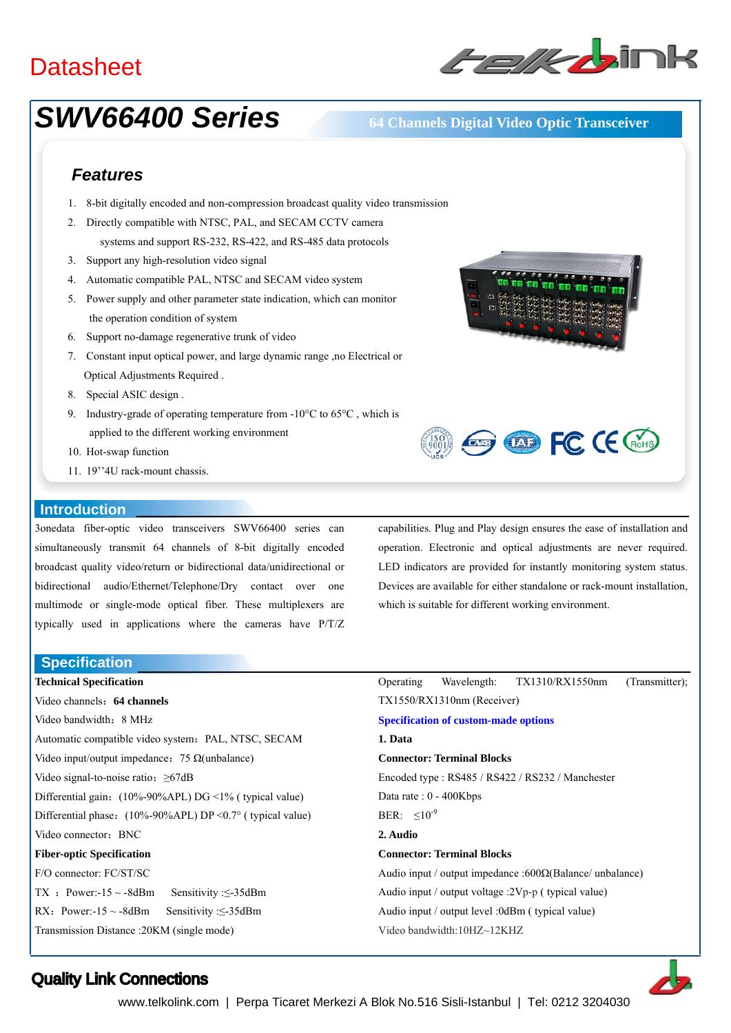## **Datasheet**



# *SWV66400 Series* **64 Channels Digital Video Optic Transceiver**

## *Features*

- 1. 8-bit digitally encoded and non-compression broadcast quality video transmission
- 2. Directly compatible with NTSC, PAL, and SECAM CCTV camera systems and support RS-232, RS-422, and RS-485 data protocols
- 3. Support any high-resolution video signal
- 4. Automatic compatible PAL, NTSC and SECAM video system
- 5. Power supply and other parameter state indication, which can monitor the operation condition of system
- 6. Support no-damage regenerative trunk of video
- 7. Constant input optical power, and large dynamic range ,no Electrical or Optical Adjustments Required .
- 8. Special ASIC design .
- 9. Industry-grade of operating temperature from -10°C to 65°C, which is applied to the different working environment
- 10. Hot-swap function
- 11. 19''4U rack-mount chassis.

### **Introduction**

3onedata fiber-optic video transceivers SWV66400 series can simultaneously transmit 64 channels of 8-bit digitally encoded broadcast quality video/return or bidirectional data/unidirectional or bidirectional audio/Ethernet/Telephone/Dry contact over one multimode or single-mode optical fiber. These multiplexers are typically used in applications where the cameras have P/T/Z

**Specification** 

**Technical Specification**  Video channels:**64 channels**  Video bandwidth:8 MHz Automatic compatible video system: PAL, NTSC, SECAM Video input/output impedance: 75  $\Omega$ (unbalance) Video signal-to-noise ratio:≥67dB Differential gain: (10%-90%APL) DG <1% ( typical value) Differential phase:  $(10\% - 90\%$ APL) DP < 0.7° ( typical value) Video connector: BNC **Fiber-optic Specification**  F/O connector: FC/ST/SC TX : Power:-15 ~ -8dBm Sensitivity : $\leq$ -35dBm RX: Power:-15 ~ -8dBm Sensitivity : $\leq$ -35dBm Transmission Distance :20KM (single mode)





capabilities. Plug and Play design ensures the ease of installation and operation. Electronic and optical adjustments are never required. LED indicators are provided for instantly monitoring system status. Devices are available for either standalone or rack-mount installation, which is suitable for different working environment.

|                                                          |  | Operating Wavelength: TX1310/RX1550nm | (Transmitter); |
|----------------------------------------------------------|--|---------------------------------------|----------------|
| $TX1550/RX1310nm$ (Receiver)                             |  |                                       |                |
| <b>Specification of custom-made options</b>              |  |                                       |                |
| 1. Data                                                  |  |                                       |                |
| <b>Connector: Terminal Blocks</b>                        |  |                                       |                |
| Encoded type : RS485 / RS422 / RS232 / Manchester        |  |                                       |                |
| Data rate : $0 - 400Kbps$                                |  |                                       |                |
| BER: $\leq 10^{-9}$                                      |  |                                       |                |
| 2. Audio                                                 |  |                                       |                |
| <b>Connector: Terminal Blocks</b>                        |  |                                       |                |
| Audio input / output impedance :600Ω(Balance/ unbalance) |  |                                       |                |
| Audio input / output voltage :2Vp-p ( typical value)     |  |                                       |                |
| Audio input / output level :0dBm ( typical value)        |  |                                       |                |
| Video bandwidth: $10HZ \sim 12KHZ$                       |  |                                       |                |



### Quality Link Connections